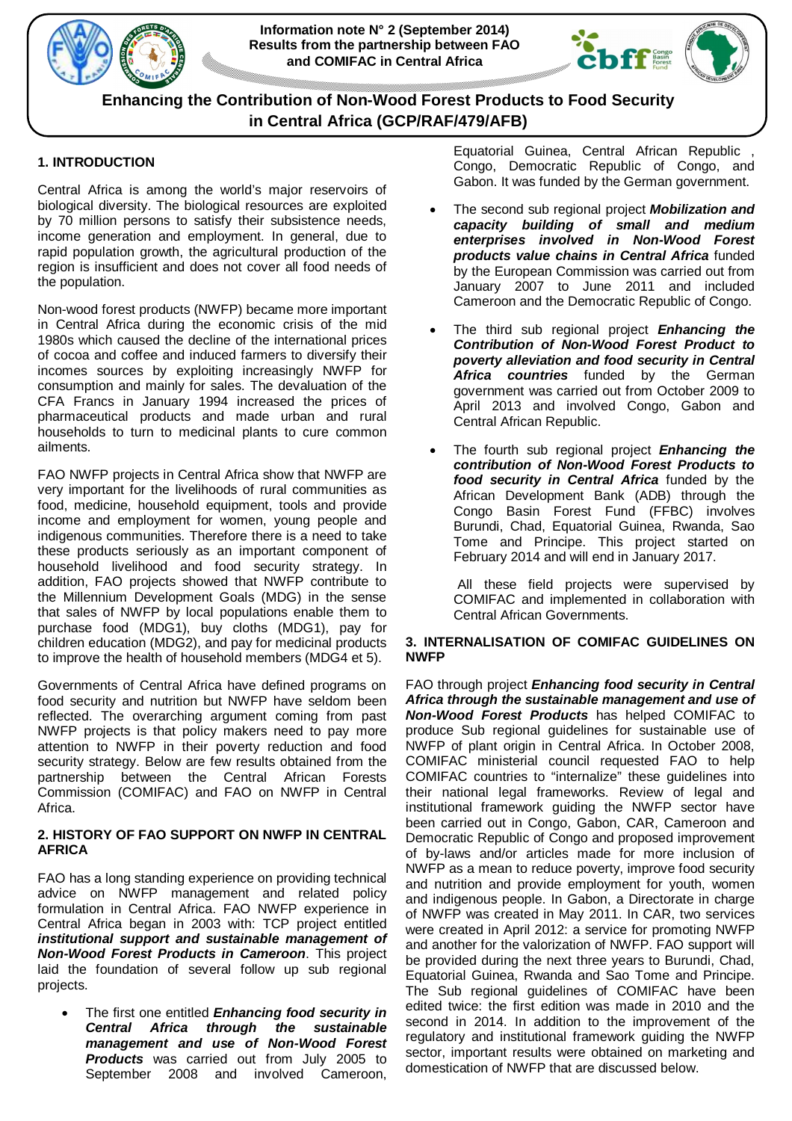





# **1. INTRODUCTION**

Central Africa is among the world's major reservoirs of biological diversity. The biological resources are exploited by 70 million persons to satisfy their subsistence needs, income generation and employment. In general, due to rapid population growth, the agricultural production of the region is insufficient and does not cover all food needs of the population.

Non-wood forest products (NWFP) became more important in Central Africa during the economic crisis of the mid 1980s which caused the decline of the international prices of cocoa and coffee and induced farmers to diversify their incomes sources by exploiting increasingly NWFP for consumption and mainly for sales. The devaluation of the CFA Francs in January 1994 increased the prices of pharmaceutical products and made urban and rural households to turn to medicinal plants to cure common ailments.

FAO NWFP projects in Central Africa show that NWFP are very important for the livelihoods of rural communities as food, medicine, household equipment, tools and provide income and employment for women, young people and indigenous communities. Therefore there is a need to take these products seriously as an important component of household livelihood and food security strategy. In addition, FAO projects showed that NWFP contribute to the Millennium Development Goals (MDG) in the sense that sales of NWFP by local populations enable them to purchase food (MDG1), buy cloths (MDG1), pay for children education (MDG2), and pay for medicinal products to improve the health of household members (MDG4 et 5).

Governments of Central Africa have defined programs on food security and nutrition but NWFP have seldom been reflected. The overarching argument coming from past NWFP projects is that policy makers need to pay more attention to NWFP in their poverty reduction and food security strategy. Below are few results obtained from the partnership between the Central African Forests Commission (COMIFAC) and FAO on NWFP in Central Africa.

## **2. HISTORY OF FAO SUPPORT ON NWFP IN CENTRAL AFRICA**

FAO has a long standing experience on providing technical advice on NWFP management and related policy formulation in Central Africa. FAO NWFP experience in Central Africa began in 2003 with: TCP project entitled *institutional support and sustainable management of Non-Wood Forest Products in Cameroon*. This project laid the foundation of several follow up sub regional projects.

 The first one entitled *Enhancing food security in Central Africa through the sustainable management and use of Non-Wood Forest Products* was carried out from July 2005 to September 2008 and involved Cameroon,

Equatorial Guinea, Central African Republic , Congo, Democratic Republic of Congo, and Gabon. It was funded by the German government.

- The second sub regional project *Mobilization and capacity building of small and medium enterprises involved in Non-Wood Forest products value chains in Central Africa* funded by the European Commission was carried out from January 2007 to June 2011 and included Cameroon and the Democratic Republic of Congo.
- The third sub regional project *Enhancing the Contribution of Non-Wood Forest Product to poverty alleviation and food security in Central Africa countries* funded by the German government was carried out from October 2009 to April 2013 and involved Congo, Gabon and Central African Republic.
- The fourth sub regional project *Enhancing the contribution of Non-Wood Forest Products to food security in Central Africa* funded by the African Development Bank (ADB) through the Congo Basin Forest Fund (FFBC) involves Burundi, Chad, Equatorial Guinea, Rwanda, Sao Tome and Principe. This project started on February 2014 and will end in January 2017.

All these field projects were supervised by COMIFAC and implemented in collaboration with Central African Governments.

## **3. INTERNALISATION OF COMIFAC GUIDELINES ON NWFP**

FAO through project *Enhancing food security in Central Africa through the sustainable management and use of Non-Wood Forest Products* has helped COMIFAC to produce Sub regional guidelines for sustainable use of NWFP of plant origin in Central Africa. In October 2008, COMIFAC ministerial council requested FAO to help COMIFAC countries to "internalize" these guidelines into their national legal frameworks. Review of legal and institutional framework guiding the NWFP sector have been carried out in Congo, Gabon, CAR, Cameroon and Democratic Republic of Congo and proposed improvement of by-laws and/or articles made for more inclusion of NWFP as a mean to reduce poverty, improve food security and nutrition and provide employment for youth, women and indigenous people. In Gabon, a Directorate in charge of NWFP was created in May 2011. In CAR, two services were created in April 2012: a service for promoting NWFP and another for the valorization of NWFP. FAO support will be provided during the next three years to Burundi, Chad, Equatorial Guinea, Rwanda and Sao Tome and Principe. The Sub regional guidelines of COMIFAC have been edited twice: the first edition was made in 2010 and the second in 2014. In addition to the improvement of the regulatory and institutional framework guiding the NWFP sector, important results were obtained on marketing and domestication of NWFP that are discussed below.